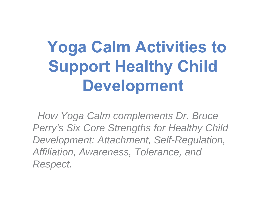# **Yoga Calm Activities to Support Healthy Child Development**

*How Yoga Calm complements Dr. Bruce Perry's Six Core Strengths for Healthy Child Development: Attachment, Self-Regulation, Affiliation, Awareness, Tolerance, and Respect.*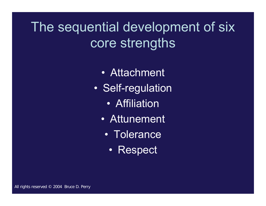The sequential development of six core strengths

- Attachment
- • Self-regulation
	- $\bullet$ Affiliation
	- Attunement
		- Tolerance
			- Respect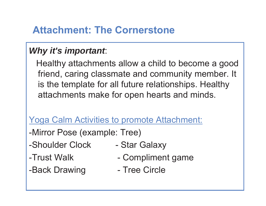### **Attachment: The Cornerstone**

#### *Why it's important*:

Healthy attachments allow a child to become a good friend, caring classmate and community member. It is the template for all future relationships. Healthy attachments make for open hearts and minds.

Yoga Calm Activities to promote Attachment:

-Mirror Pose (example: Tree)

- -Shoulder Clock Star Galaxy
- 

-Back Drawing Tree Circle

- 
- -Trust Walk Compliment game
	-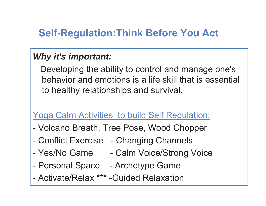## **Self-Regulation:Think Before You Act**

### *Why it's important:*

Developing the ability to control and manage one's behavior and emotions is a life skill that is essential to healthy relationships and survival.

#### Yoga Calm Activities to build Self Regulation:

- -Volcano Breath, Tree Pose, Wood Chopper
- $\mathcal{L}_{\mathcal{A}}$ Conflict Exercise - Changing Channels
- $\mathcal{L}_{\mathcal{A}}$ Yes/No Game - Calm Voice/Strong Voice
- -Personal Space - Archetype Game
- Activate/Relax \*\*\* -Guided Relaxation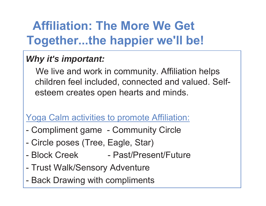# **Affiliation: The More We Get Together...the happier we'll be!**

### *Why it's important:*

We live and work in community. Affiliation helps children feel included, connected and valued. Selfesteem creates open hearts and minds.

Yoga Calm activities to promote Affiliation:

- $\mathcal{L}_{\mathcal{A}}$ Compliment game - Community Circle
- $\mathcal{L}_{\mathcal{A}}$ Circle poses (Tree, Eagle, Star)
- Block Creek Past/Present/Future
- $\mathcal{L}_{\mathcal{A}}$ Trust Walk/Sensory Adventure
- $\mathcal{L}_{\mathcal{A}}$ Back Drawing with compliments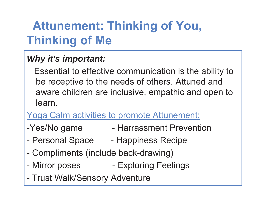# **Attunement: Thinking of You, Thinking of Me**

### *Why it's important:*

Essential to effective communication is the ability to be receptive to the needs of others. Attuned and aware children are inclusive, empathic and open to learn.

### Yoga Calm activities to promote Attunement:

- -Yes/No game Harrassment Prevention
- -Personal Space - Happiness Recipe
- $\mathcal{L}_{\mathcal{A}}$ Compliments (include back-drawing)
- $\mathcal{L}_{\mathcal{A}}$ Mirror poses **CEE ARE ARE EXPLORING** Feelings
- $\mathcal{L}_{\mathcal{A}}$ Trust Walk/Sensory Adventure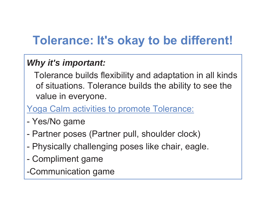# **Tolerance: It's okay to be different!**

### *Why it's important:*

Tolerance builds flexibility and adaptation in all kinds of situations. Tolerance builds the ability to see the value in everyone.

Yoga Calm activities to promote Tolerance:

- $\mathcal{L}_{\mathcal{A}}$ Yes/No game
- -Partner poses (Partner pull, shoulder clock)
- $\mathcal{L}_{\mathcal{A}}$ Physically challenging poses like chair, eagle.
- $\mathcal{L}_{\mathcal{A}}$ Compliment game

-Communication game